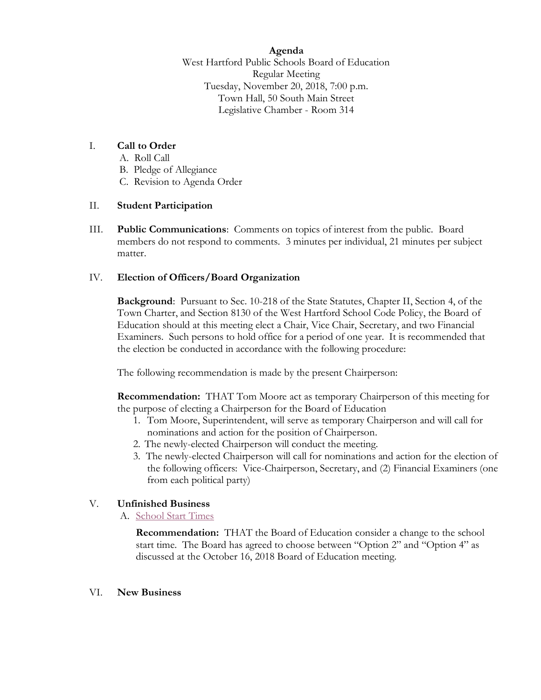**Agenda**

West Hartford Public Schools Board of Education Regular Meeting Tuesday, November 20, 2018, 7:00 p.m. Town Hall, 50 South Main Street Legislative Chamber - Room 314

# I. **Call to Order**

- A. Roll Call
- B. Pledge of Allegiance
- C. Revision to Agenda Order

#### II. **Student Participation**

III. **Public Communications**: Comments on topics of interest from the public. Board members do not respond to comments. 3 minutes per individual, 21 minutes per subject matter.

### IV. **Election of Officers/Board Organization**

**Background**: Pursuant to Sec. 10-218 of the State Statutes, Chapter II, Section 4, of the Town Charter, and Section 8130 of the West Hartford School Code Policy, the Board of Education should at this meeting elect a Chair, Vice Chair, Secretary, and two Financial Examiners. Such persons to hold office for a period of one year. It is recommended that the election be conducted in accordance with the following procedure:

The following recommendation is made by the present Chairperson:

**Recommendation:** THAT Tom Moore act as temporary Chairperson of this meeting for the purpose of electing a Chairperson for the Board of Education

- 1. Tom Moore, Superintendent, will serve as temporary Chairperson and will call for nominations and action for the position of Chairperson.
- 2. The newly-elected Chairperson will conduct the meeting.
- 3. The newly-elected Chairperson will call for nominations and action for the election of the following officers: Vice-Chairperson, Secretary, and (2) Financial Examiners (one from each political party)

### V. **Unfinished Business**

A. [School Start Times](https://westhartford.finalsite.com/uploaded/BOE/BOE_Documents/20181120/School_Start_Time_Item.pdf?1542634170524)

**Recommendation:** THAT the Board of Education consider a change to the school start time. The Board has agreed to choose between "Option 2" and "Option 4" as discussed at the October 16, 2018 Board of Education meeting.

#### VI. **New Business**